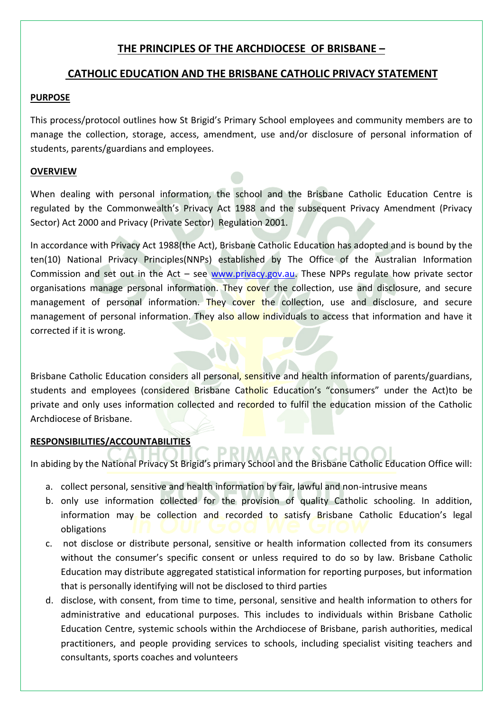# **THE PRINCIPLES OF THE ARCHDIOCESE OF BRISBANE –**

## **CATHOLIC EDUCATION AND THE BRISBANE CATHOLIC PRIVACY STATEMENT**

#### **PURPOSE**

This process/protocol outlines how St Brigid's Primary School employees and community members are to manage the collection, storage, access, amendment, use and/or disclosure of personal information of students, parents/guardians and employees.

### **OVERVIEW**

When dealing with personal information, the school and the Brisbane Catholic Education Centre is regulated by the Commonwealth's Privacy Act 1988 and the subsequent Privacy Amendment (Privacy Sector) Act 2000 and Privacy (Private Sector) Regulation 2001.

In accordance with Privacy Act 1988(the Act), Brisbane Catholic Education has adopted and is bound by the ten(10) National Privacy Principles(NNPs) established by The Office of the Australian Information Commission and set out in the Act – see [www.privacy.gov.au.](http://www.privacy.gov.au/) These NPPs regulate how private sector organisations manage personal information. They cover the collection, use and disclosure, and secure management of personal information. They cover the collection, use and disclosure, and secure management of personal information. They also allow individuals to access that information and have it corrected if it is wrong.

Brisbane Catholic Education considers all personal, sensitive and health information of parents/guardians, students and employees (considered Brisbane Catholic Education's "consumers" under the Act)to be private and only uses information collected and recorded to fulfil the education mission of the Catholic Archdiocese of Brisbane.

### **RESPONSIBILITIES/ACCOUNTABILITIES**

In abiding by the National Privacy St Brigid's primary School and the Brisbane Catholic Education Office will:

- a. collect personal, sensitive and health information by fair, lawful and non-intrusive means
- b. only use information collected for the provision of quality Catholic schooling. In addition, information may be collection and recorded to satisfy Brisbane Catholic Education's legal obligations
- c. not disclose or distribute personal, sensitive or health information collected from its consumers without the consumer's specific consent or unless required to do so by law. Brisbane Catholic Education may distribute aggregated statistical information for reporting purposes, but information that is personally identifying will not be disclosed to third parties
- d. disclose, with consent, from time to time, personal, sensitive and health information to others for administrative and educational purposes. This includes to individuals within Brisbane Catholic Education Centre, systemic schools within the Archdiocese of Brisbane, parish authorities, medical practitioners, and people providing services to schools, including specialist visiting teachers and consultants, sports coaches and volunteers